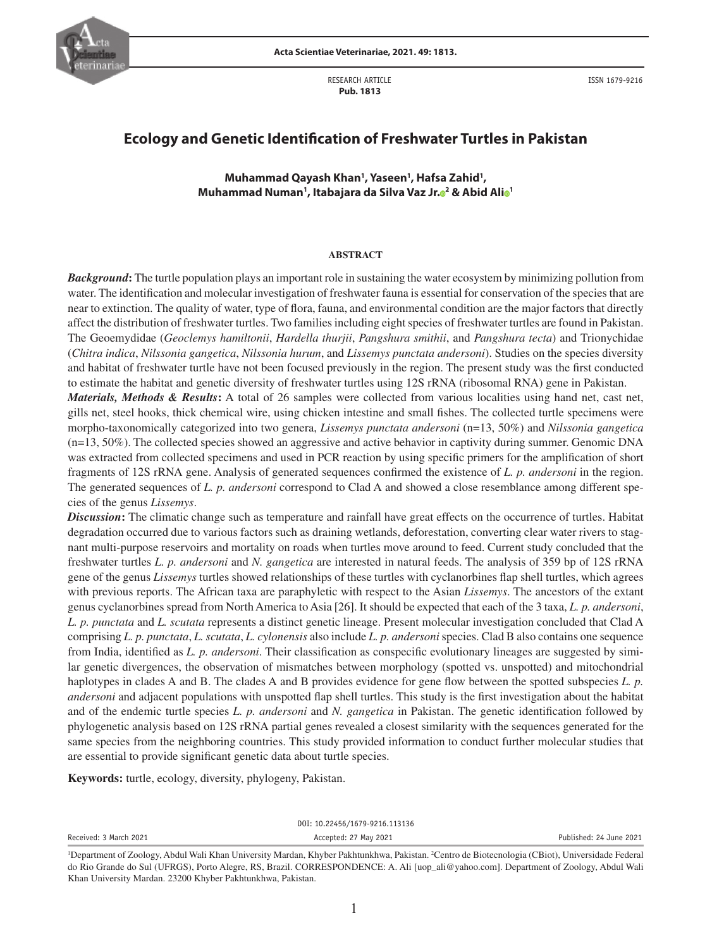

RESEARCH ARTICLE  **Pub. 1813**

ISSN 1679-9216

# **Ecology and Genetic Identification of Freshwater Turtles in Pakistan**

**Muhammad Qayash Khan1 , Yaseen1 , Hafsa Zahid1 , Muhammad Numan1 , Itabajara da Silva Vaz J[r.](http://orcid.org/0000-0003-0309-9328) <sup>2</sup> & Abid Al[i](http://orcid.org/0000-0001-6411-6625) <sup>1</sup>**

#### **ABSTRACT**

*Background***:** The turtle population plays an important role in sustaining the water ecosystem by minimizing pollution from water. The identification and molecular investigation of freshwater fauna is essential for conservation of the species that are near to extinction. The quality of water, type of flora, fauna, and environmental condition are the major factors that directly affect the distribution of freshwater turtles. Two families including eight species of freshwater turtles are found in Pakistan. The Geoemydidae (*Geoclemys hamiltonii*, *Hardella thurjii*, *Pangshura smithii*, and *Pangshura tecta*) and Trionychidae (*Chitra indica*, *Nilssonia gangetica*, *Nilssonia hurum*, and *Lissemys punctata andersoni*). Studies on the species diversity and habitat of freshwater turtle have not been focused previously in the region. The present study was the first conducted to estimate the habitat and genetic diversity of freshwater turtles using 12S rRNA (ribosomal RNA) gene in Pakistan.

*Materials, Methods & Results***:** A total of 26 samples were collected from various localities using hand net, cast net, gills net, steel hooks, thick chemical wire, using chicken intestine and small fishes. The collected turtle specimens were morpho-taxonomically categorized into two genera, *Lissemys punctata andersoni* (n=13, 50%) and *Nilssonia gangetica* (n=13, 50%). The collected species showed an aggressive and active behavior in captivity during summer. Genomic DNA was extracted from collected specimens and used in PCR reaction by using specific primers for the amplification of short fragments of 12S rRNA gene. Analysis of generated sequences confirmed the existence of *L. p. andersoni* in the region. The generated sequences of *L. p. andersoni* correspond to Clad A and showed a close resemblance among different species of the genus *Lissemys*.

*Discussion***:** The climatic change such as temperature and rainfall have great effects on the occurrence of turtles. Habitat degradation occurred due to various factors such as draining wetlands, deforestation, converting clear water rivers to stagnant multi-purpose reservoirs and mortality on roads when turtles move around to feed. Current study concluded that the freshwater turtles *L. p. andersoni* and *N. gangetica* are interested in natural feeds. The analysis of 359 bp of 12S rRNA gene of the genus *Lissemys* turtles showed relationships of these turtles with cyclanorbines flap shell turtles, which agrees with previous reports. The African taxa are paraphyletic with respect to the Asian *Lissemys*. The ancestors of the extant genus cyclanorbines spread from North America to Asia [26]. It should be expected that each of the 3 taxa, *L. p. andersoni*, *L. p. punctata* and *L. scutata* represents a distinct genetic lineage. Present molecular investigation concluded that Clad A comprising *L. p. punctata*, *L. scutata*, *L. cylonensis* also include *L. p. andersoni* species. Clad B also contains one sequence from India, identified as *L. p. andersoni*. Their classification as conspecific evolutionary lineages are suggested by similar genetic divergences, the observation of mismatches between morphology (spotted vs. unspotted) and mitochondrial haplotypes in clades A and B. The clades A and B provides evidence for gene flow between the spotted subspecies *L. p. andersoni* and adjacent populations with unspotted flap shell turtles. This study is the first investigation about the habitat and of the endemic turtle species *L. p. andersoni* and *N. gangetica* in Pakistan. The genetic identification followed by phylogenetic analysis based on 12S rRNA partial genes revealed a closest similarity with the sequences generated for the same species from the neighboring countries. This study provided information to conduct further molecular studies that are essential to provide significant genetic data about turtle species.

**Keywords:** turtle, ecology, diversity, phylogeny, Pakistan.

|                                | $\mathbf{D}_{11}$ . The contract of $\mathbf{F}_{21}$ and $\mathbf{F}_{31}$ and $\mathbf{F}_{41}$ are $\mathbf{F}_{41}$ and $\mathbf{F}_{41}$ and $\mathbf{F}_{41}$ and $\mathbf{F}_{41}$ and $\mathbf{F}_{41}$ and $\mathbf{F}_{41}$ and $\mathbf{F}_{41}$ and $\mathbf{F}_{41}$ and $\mathbf{F}_{41}$ and |                         |  |  |
|--------------------------------|-------------------------------------------------------------------------------------------------------------------------------------------------------------------------------------------------------------------------------------------------------------------------------------------------------------|-------------------------|--|--|
| Received: 3 March 2021         | Accepted: 27 May 2021                                                                                                                                                                                                                                                                                       | Published: 24 June 2021 |  |  |
| DOI: 10.22456/1679-9216.113136 |                                                                                                                                                                                                                                                                                                             |                         |  |  |

<sup>&</sup>lt;sup>1</sup>Department of Zoology, Abdul Wali Khan University Mardan, Khyber Pakhtunkhwa, Pakistan. <sup>2</sup>Centro de Biotecnologia (CBiot), Universidade Federal do Rio Grande do Sul (UFRGS), Porto Alegre, RS, Brazil. CORRESPONDENCE: A. Ali [uop\_ali@yahoo.com]. Department of Zoology, Abdul Wali Khan University Mardan. 23200 Khyber Pakhtunkhwa, Pakistan.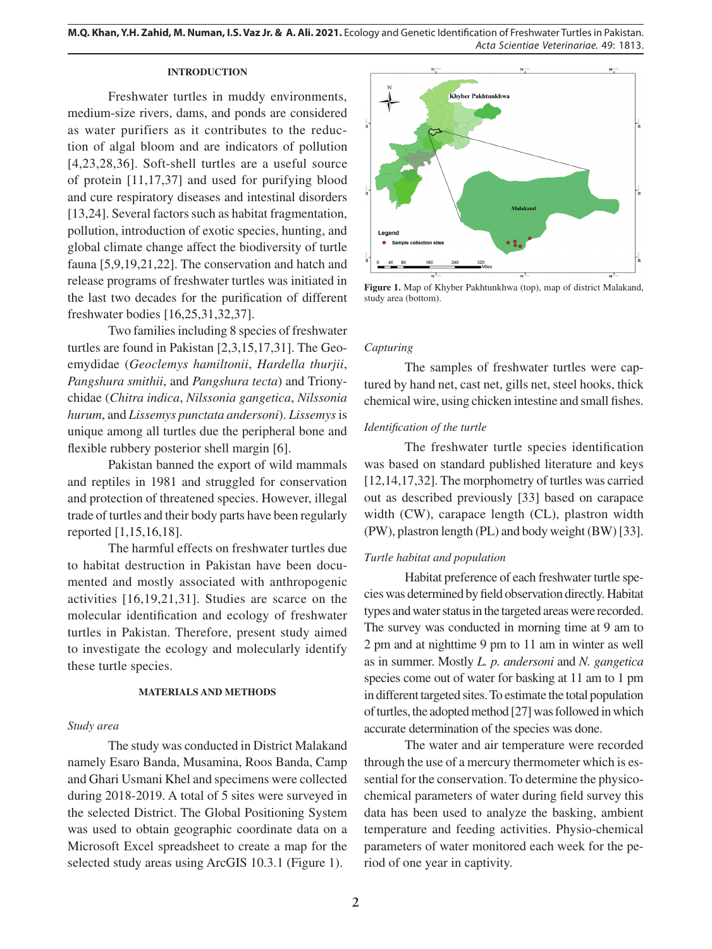**M.Q. Khan, Y.H. Zahid, M. Numan, I.S. Vaz Jr. & A. Ali. 2021.** Ecology and Genetic Identification of Freshwater Turtles in Pakistan. *Acta Scientiae Veterinariae*. 49: 1813.

### **INTRODUCTION**

Freshwater turtles in muddy environments, medium-size rivers, dams, and ponds are considered as water purifiers as it contributes to the reduction of algal bloom and are indicators of pollution [4,23,28,36]. Soft-shell turtles are a useful source of protein [11,17,37] and used for purifying blood and cure respiratory diseases and intestinal disorders [13,24]. Several factors such as habitat fragmentation, pollution, introduction of exotic species, hunting, and global climate change affect the biodiversity of turtle fauna [5,9,19,21,22]. The conservation and hatch and release programs of freshwater turtles was initiated in the last two decades for the purification of different freshwater bodies [16,25,31,32,37].

Two families including 8 species of freshwater turtles are found in Pakistan [2,3,15,17,31]. The Geoemydidae (*Geoclemys hamiltonii*, *Hardella thurjii*, *Pangshura smithii*, and *Pangshura tecta*) and Trionychidae (*Chitra indica*, *Nilssonia gangetica*, *Nilssonia hurum*, and *Lissemys punctata andersoni*). *Lissemys* is unique among all turtles due the peripheral bone and flexible rubbery posterior shell margin [6].

Pakistan banned the export of wild mammals and reptiles in 1981 and struggled for conservation and protection of threatened species. However, illegal trade of turtles and their body parts have been regularly reported [1,15,16,18].

The harmful effects on freshwater turtles due to habitat destruction in Pakistan have been documented and mostly associated with anthropogenic activities [16,19,21,31]. Studies are scarce on the molecular identification and ecology of freshwater turtles in Pakistan. Therefore, present study aimed to investigate the ecology and molecularly identify these turtle species.

### **MATERIALS AND METHODS**

### *Study area*

The study was conducted in District Malakand namely Esaro Banda, Musamina, Roos Banda, Camp and Ghari Usmani Khel and specimens were collected during 2018-2019. A total of 5 sites were surveyed in the selected District. The Global Positioning System was used to obtain geographic coordinate data on a Microsoft Excel spreadsheet to create a map for the selected study areas using ArcGIS 10.3.1 (Figure 1).



**Figure 1.** Map of Khyber Pakhtunkhwa (top), map of district Malakand, study area (bottom).

#### *Capturing*

The samples of freshwater turtles were captured by hand net, cast net, gills net, steel hooks, thick chemical wire, using chicken intestine and small fishes.

### *Identification of the turtle*

The freshwater turtle species identification was based on standard published literature and keys [12,14,17,32]. The morphometry of turtles was carried out as described previously [33] based on carapace width (CW), carapace length (CL), plastron width (PW), plastron length (PL) and body weight (BW) [33].

### *Turtle habitat and population*

Habitat preference of each freshwater turtle species was determined by field observation directly. Habitat types and water status in the targeted areas were recorded. The survey was conducted in morning time at 9 am to 2 pm and at nighttime 9 pm to 11 am in winter as well as in summer. Mostly *L. p. andersoni* and *N. gangetica*  species come out of water for basking at 11 am to 1 pm in different targeted sites. To estimate the total population of turtles, the adopted method [27] was followed in which accurate determination of the species was done.

The water and air temperature were recorded through the use of a mercury thermometer which is essential for the conservation. To determine the physicochemical parameters of water during field survey this data has been used to analyze the basking, ambient temperature and feeding activities. Physio-chemical parameters of water monitored each week for the period of one year in captivity.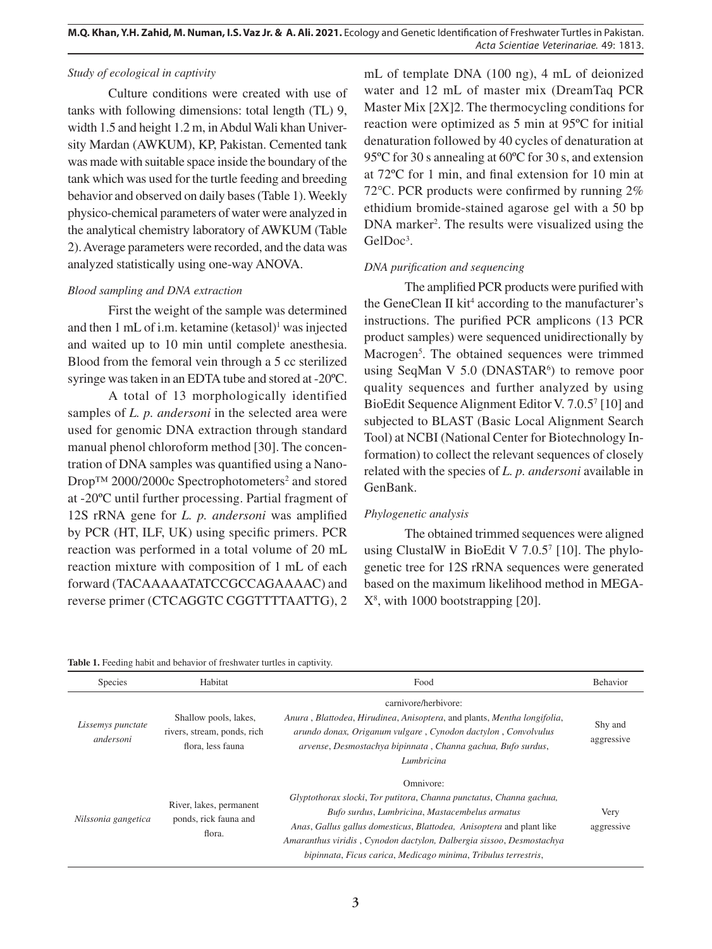### *Study of ecological in captivity*

Culture conditions were created with use of tanks with following dimensions: total length (TL) 9, width 1.5 and height 1.2 m, in Abdul Wali khan University Mardan (AWKUM), KP, Pakistan. Cemented tank was made with suitable space inside the boundary of the tank which was used for the turtle feeding and breeding behavior and observed on daily bases (Table 1). Weekly physico-chemical parameters of water were analyzed in the analytical chemistry laboratory of AWKUM (Table 2). Average parameters were recorded, and the data was analyzed statistically using one-way ANOVA.

### *Blood sampling and DNA extraction*

First the weight of the sample was determined and then 1 mL of i.m. ketamine (ketasol)<sup>1</sup> was injected and waited up to 10 min until complete anesthesia. Blood from the femoral vein through a 5 cc sterilized syringe was taken in an EDTA tube and stored at -20ºC.

A total of 13 morphologically identified samples of *L. p. andersoni* in the selected area were used for genomic DNA extraction through standard manual phenol chloroform method [30]. The concentration of DNA samples was quantified using a Nano-Drop™ 2000/2000c Spectrophotometers<sup>2</sup> and stored at -20ºC until further processing. Partial fragment of 12S rRNA gene for *L. p. andersoni* was amplified by PCR (HT, ILF, UK) using specific primers. PCR reaction was performed in a total volume of 20 mL reaction mixture with composition of 1 mL of each forward (TACAAAAATATCCGCCAGAAAAC) and reverse primer (CTCAGGTC CGGTTTTAATTG), 2

mL of template DNA (100 ng), 4 mL of deionized water and 12 mL of master mix (DreamTaq PCR Master Mix [2X]2. The thermocycling conditions for reaction were optimized as 5 min at 95ºC for initial denaturation followed by 40 cycles of denaturation at 95ºC for 30 s annealing at 60ºC for 30 s, and extension at 72ºC for 1 min, and final extension for 10 min at 72℃. PCR products were confirmed by running 2% ethidium bromide-stained agarose gel with a 50 bp DNA marker<sup>2</sup>. The results were visualized using the GelDoc<sup>3</sup>.

# *DNA purification and sequencing*

The amplified PCR products were purified with the GeneClean II kit<sup>4</sup> according to the manufacturer's instructions. The purified PCR amplicons (13 PCR product samples) were sequenced unidirectionally by Macrogen<sup>5</sup>. The obtained sequences were trimmed using SeqMan V  $5.0$  (DNASTAR $6$ ) to remove poor quality sequences and further analyzed by using BioEdit Sequence Alignment Editor V. 7.0.5<sup>7</sup> [10] and subjected to BLAST (Basic Local Alignment Search Tool) at NCBI (National Center for Biotechnology Information) to collect the relevant sequences of closely related with the species of *L. p. andersoni* available in GenBank.

# *Phylogenetic analysis*

The obtained trimmed sequences were aligned using ClustalW in BioEdit V  $7.0.5<sup>7</sup>$  [10]. The phylogenetic tree for 12S rRNA sequences were generated based on the maximum likelihood method in MEGA-X8 , with 1000 bootstrapping [20].

| <b>Table 1.</b> Feeding habit and behavior of freshwater turtles in captivity. |  |
|--------------------------------------------------------------------------------|--|
|--------------------------------------------------------------------------------|--|

| <b>Species</b>                 | Habitat                                                                   | Food                                                                                                                                                                                                                                                                                                                                                 | Behavior              |
|--------------------------------|---------------------------------------------------------------------------|------------------------------------------------------------------------------------------------------------------------------------------------------------------------------------------------------------------------------------------------------------------------------------------------------------------------------------------------------|-----------------------|
| Lissemys punctate<br>andersoni | Shallow pools, lakes,<br>rivers, stream, ponds, rich<br>flora, less fauna | carnivore/herbivore:<br>Anura, Blattodea, Hirudinea, Anisoptera, and plants, Mentha longifolia,<br>arundo donax, Origanum vulgare, Cynodon dactylon, Convolvulus<br>arvense, Desmostachya bipinnata, Channa gachua, Bufo surdus,<br>Lumbricina                                                                                                       | Shy and<br>aggressive |
| Nilssonia gangetica            | River, lakes, permanent<br>ponds, rick fauna and<br>flora.                | Omnivore:<br>Glyptothorax slocki, Tor putitora, Channa punctatus, Channa gachua,<br>Bufo surdus, Lumbricina, Mastacembelus armatus<br>Anas, Gallus gallus domesticus, Blattodea, Anisoptera and plant like<br>Amaranthus viridis, Cynodon dactylon, Dalbergia sissoo, Desmostachya<br>bipinnata, Ficus carica, Medicago minima, Tribulus terrestris, | Very<br>aggressive    |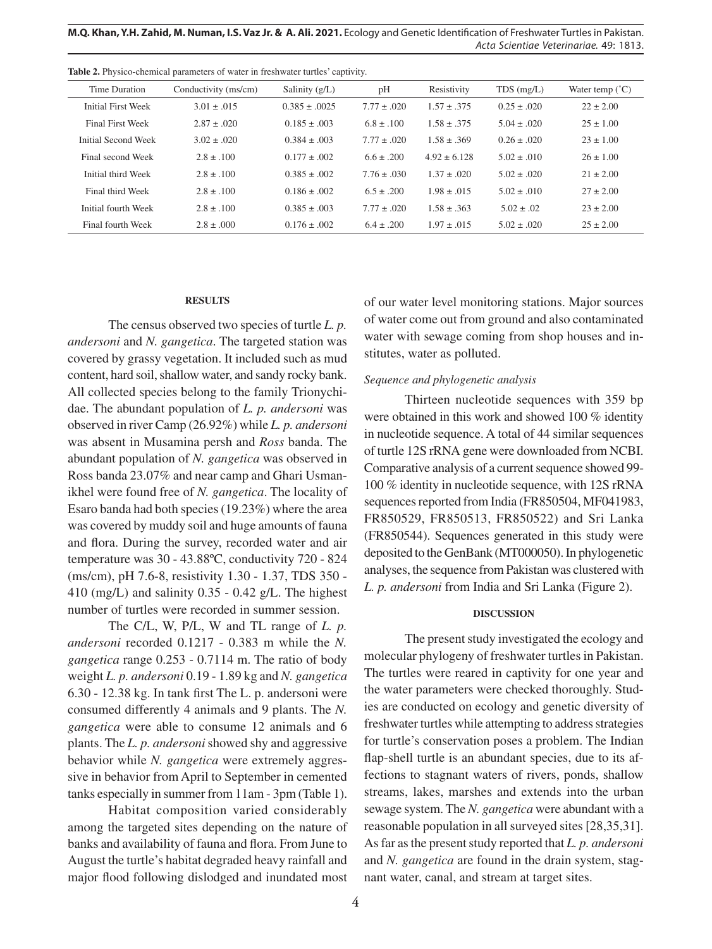**M.Q. Khan, Y.H. Zahid, M. Numan, I.S. Vaz Jr. & A. Ali. 2021.** Ecology and Genetic Identification of Freshwater Turtles in Pakistan. *Acta Scientiae Veterinariae*. 49: 1813.

| Time Duration           | Conductivity (ms/cm) | Salinity $(g/L)$  | pH              | Resistivity     | $TDS$ (mg/L)    | Water temp $(^{\circ}C)$ |
|-------------------------|----------------------|-------------------|-----------------|-----------------|-----------------|--------------------------|
| Initial First Week      | $3.01 \pm .015$      | $0.385 \pm .0025$ | $7.77 \pm .020$ | $1.57 \pm .375$ | $0.25 \pm .020$ | $22 \pm 2.00$            |
| <b>Final First Week</b> | $2.87 \pm .020$      | $0.185 \pm .003$  | $6.8 \pm .100$  | $1.58 \pm .375$ | $5.04 \pm .020$ | $25 \pm 1.00$            |
| Initial Second Week     | $3.02 \pm .020$      | $0.384 \pm .003$  | $7.77 \pm .020$ | $1.58 \pm .369$ | $0.26 + 0.020$  | $23 \pm 1.00$            |
| Final second Week       | $2.8 \pm .100$       | $0.177 \pm .002$  | $6.6 \pm .200$  | $4.92 + 6.128$  | $5.02 \pm .010$ | $26 \pm 1.00$            |
| Initial third Week      | $2.8 + 100$          | $0.385 \pm .002$  | $7.76 \pm .030$ | $1.37 + 020$    | $5.02 \pm .020$ | $21 + 2.00$              |
| Final third Week        | $2.8 \pm .100$       | $0.186 \pm .002$  | $6.5 \pm .200$  | $1.98 \pm .015$ | $5.02 \pm .010$ | $27 + 2.00$              |
| Initial fourth Week     | $2.8 \pm .100$       | $0.385 \pm .003$  | $7.77 \pm .020$ | $1.58 \pm .363$ | $5.02 \pm .02$  | $23 \pm 2.00$            |
| Final fourth Week       | $2.8 \pm .000$       | $0.176 \pm .002$  | $6.4 \pm .200$  | $1.97 \pm .015$ | $5.02 \pm .020$ | $25 \pm 2.00$            |

**Table 2.** Physico-chemical parameters of water in freshwater turtles' captivity.

#### **RESULTS**

The census observed two species of turtle *L. p. andersoni* and *N. gangetica*. The targeted station was covered by grassy vegetation. It included such as mud content, hard soil, shallow water, and sandy rocky bank. All collected species belong to the family Trionychidae. The abundant population of *L. p. andersoni* was observed in river Camp (26.92%) while *L. p. andersoni*  was absent in Musamina persh and *Ross* banda. The abundant population of *N. gangetica* was observed in Ross banda 23.07% and near camp and Ghari Usmanikhel were found free of *N. gangetica*. The locality of Esaro banda had both species (19.23%) where the area was covered by muddy soil and huge amounts of fauna and flora. During the survey, recorded water and air temperature was 30 - 43.88ºC, conductivity 720 - 824 (ms/cm), pH 7.6-8, resistivity 1.30 - 1.37, TDS 350 - 410 (mg/L) and salinity  $0.35 - 0.42$  g/L. The highest number of turtles were recorded in summer session.

The C/L, W, P/L, W and TL range of *L. p. andersoni* recorded 0.1217 - 0.383 m while the *N. gangetica* range 0.253 - 0.7114 m. The ratio of body weight *L. p. andersoni* 0.19 - 1.89 kg and *N. gangetica*  6.30 - 12.38 kg. In tank first The L. p. andersoni were consumed differently 4 animals and 9 plants. The *N. gangetica* were able to consume 12 animals and 6 plants. The *L. p. andersoni* showed shy and aggressive behavior while *N. gangetica* were extremely aggressive in behavior from April to September in cemented tanks especially in summer from 11am - 3pm (Table 1).

Habitat composition varied considerably among the targeted sites depending on the nature of banks and availability of fauna and flora. From June to August the turtle's habitat degraded heavy rainfall and major flood following dislodged and inundated most of our water level monitoring stations. Major sources of water come out from ground and also contaminated water with sewage coming from shop houses and institutes, water as polluted.

### *Sequence and phylogenetic analysis*

Thirteen nucleotide sequences with 359 bp were obtained in this work and showed 100 % identity in nucleotide sequence. A total of 44 similar sequences of turtle 12S rRNA gene were downloaded from NCBI. Comparative analysis of a current sequence showed 99- 100 % identity in nucleotide sequence, with 12S rRNA sequences reported from India (FR850504, MF041983, FR850529, FR850513, FR850522) and Sri Lanka (FR850544). Sequences generated in this study were deposited to the GenBank (MT000050). In phylogenetic analyses, the sequence from Pakistan was clustered with *L. p. andersoni* from India and Sri Lanka (Figure 2).

### **DISCUSSION**

The present study investigated the ecology and molecular phylogeny of freshwater turtles in Pakistan. The turtles were reared in captivity for one year and the water parameters were checked thoroughly. Studies are conducted on ecology and genetic diversity of freshwater turtles while attempting to address strategies for turtle's conservation poses a problem. The Indian flap-shell turtle is an abundant species, due to its affections to stagnant waters of rivers, ponds, shallow streams, lakes, marshes and extends into the urban sewage system. The *N. gangetica* were abundant with a reasonable population in all surveyed sites [28,35,31]. As far as the present study reported that *L. p. andersoni*  and *N. gangetica* are found in the drain system, stagnant water, canal, and stream at target sites.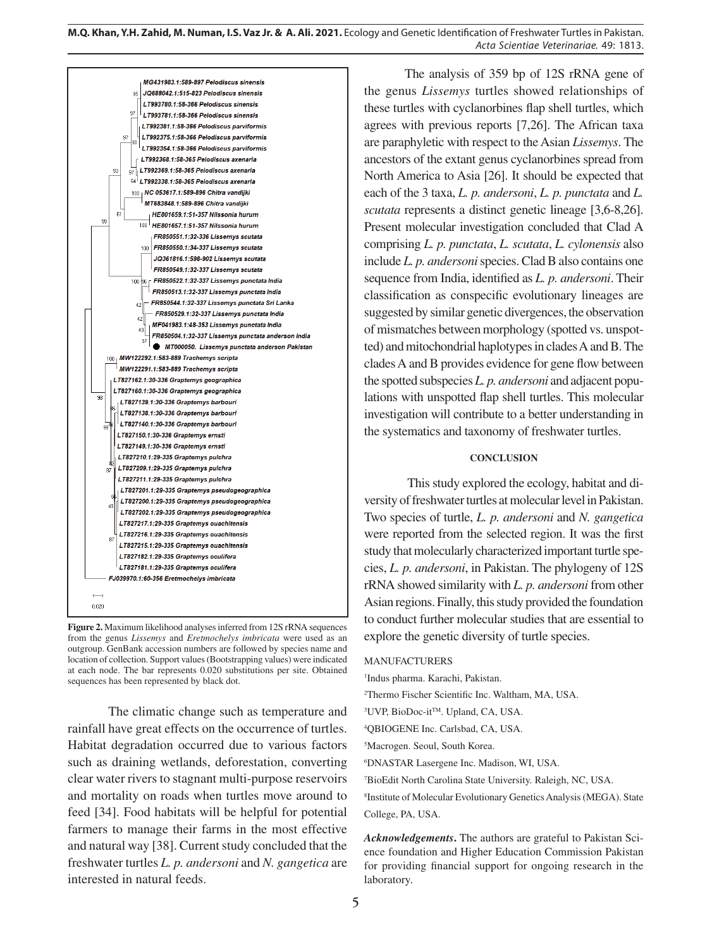| MG431983.1:589-897 Pelodiscus sinensis                   |  |
|----------------------------------------------------------|--|
| <b>JQ688042.1:515-823 Pelodiscus sinensis</b><br>95      |  |
| LT993780.1:58-366 Pelodiscus sinensis                    |  |
| 97<br>LT993781.1:58-366 Pelodiscus sinensis              |  |
| LT992381.1:58-366 Pelodiscus parviformis                 |  |
| LT992375.1:58-366 Pelodiscus parviformis                 |  |
| 97<br>90                                                 |  |
| LT992354.1:58-366 Pelodiscus parviformis                 |  |
| LT992368.1:58-365 Pelodiscus axenaria                    |  |
| LT992369.1:58-365 Pelodiscus axenaria<br>93<br>97<br>64  |  |
| LT992338.1:58-365 Pelodiscus axenaria                    |  |
| 100   NC 053617.1:589-896 Chitra vandijki                |  |
| MT683848.1:589-896 Chitra vandijki<br>61                 |  |
| HE801659.1:51-357 Nilssonia hurum<br>99<br>ا 100         |  |
| HE801657.1:51-357 Nilssonia hurum                        |  |
| FR850551.1:32-336 Lissemys scutata                       |  |
| FR850550.1:34-337 Lissemys scutata<br>100                |  |
| JQ361816.1:598-902 Lissemys scutata                      |  |
| FR850549.1:32-337 Lissemys scutata                       |  |
| 96 FR850522.1:32-337 Lissemys punctata India<br>100      |  |
| FR850513.1:32-337 Lissemys punctata India                |  |
| FR850544.1:32-337 Lissemys punctata Sri Lanka<br>42      |  |
| FR850529.1:32-337 Lissemys punctata India<br>42          |  |
| MF041983.1:48-353 Lissemys punctata India<br>43          |  |
| FR850504.1:32-337 Lissemys punctata anderson India<br>97 |  |
| MT000050. Lissemys punctata anderson Pakistan            |  |
| MW122292.1:583-889 Trachemys scripta<br>100 <sub>1</sub> |  |
| MW122291.1:583-889 Trachemys scripta                     |  |
| LT827162.1:30-336 Graptemys geographica                  |  |
| LT827160.1:30-336 Graptemys geographica<br>98            |  |
| LT827139.1:30-336 Graptemys barbouri<br>36               |  |
| LT827138.1:30-336 Graptemys barbouri                     |  |
| LT827140.1:30-336 Graptemys barbouri<br><sub>98</sub> 46 |  |
| LT827150.1:30-336 Graptemys ernsti                       |  |
| LT827149.1:30-336 Graptemys ernsti                       |  |
| LT827210.1:29-335 Graptemys pulchra                      |  |
| LT827209.1:29-335 Graptemys pulchra<br>87                |  |
| LT827211.1:29-335 Graptemys pulchra                      |  |
| LT827201.1:29-335 Graptemys pseudogeographica<br>я       |  |
| LT827200.1:29-335 Graptemys pseudogeographica<br>49      |  |
| LT827202.1:29-335 Graptemys pseudogeographica            |  |
| LT827217.1:29-335 Graptemys ouachitensis                 |  |
| LT827216.1:29-335 Graptemys ouachitensis<br>87           |  |
| LT827215.1:29-335 Graptemys ouachitensis                 |  |
| LT827182.1:29-335 Graptemys oculifera                    |  |
| LT827181.1:29-335 Graptemys oculifera                    |  |
| FJ039970.1:60-356 Eretmochelys imbricata                 |  |
|                                                          |  |
| 0.020                                                    |  |
|                                                          |  |

**Figure 2.** Maximum likelihood analyses inferred from 12S rRNA sequences from the genus *Lissemys* and *Eretmochelys imbricata* were used as an outgroup. GenBank accession numbers are followed by species name and location of collection. Support values (Bootstrapping values) were indicated at each node. The bar represents 0.020 substitutions per site. Obtained sequences has been represented by black dot.

The climatic change such as temperature and rainfall have great effects on the occurrence of turtles. Habitat degradation occurred due to various factors such as draining wetlands, deforestation, converting clear water rivers to stagnant multi-purpose reservoirs and mortality on roads when turtles move around to feed [34]. Food habitats will be helpful for potential farmers to manage their farms in the most effective and natural way [38]. Current study concluded that the freshwater turtles *L. p. andersoni* and *N. gangetica* are interested in natural feeds.

The analysis of 359 bp of 12S rRNA gene of the genus *Lissemys* turtles showed relationships of these turtles with cyclanorbines flap shell turtles, which agrees with previous reports [7,26]. The African taxa are paraphyletic with respect to the Asian *Lissemys*. The ancestors of the extant genus cyclanorbines spread from North America to Asia [26]. It should be expected that each of the 3 taxa, *L. p. andersoni*, *L. p. punctata* and *L. scutata* represents a distinct genetic lineage [3,6-8,26]. Present molecular investigation concluded that Clad A comprising *L. p. punctata*, *L. scutata*, *L. cylonensis* also include *L. p. andersoni* species. Clad B also contains one sequence from India, identified as *L. p. andersoni*. Their classification as conspecific evolutionary lineages are suggested by similar genetic divergences, the observation of mismatches between morphology (spotted vs. unspotted) and mitochondrial haplotypes in clades A and B. The clades A and B provides evidence for gene flow between the spotted subspecies *L. p. andersoni* and adjacent populations with unspotted flap shell turtles. This molecular investigation will contribute to a better understanding in the systematics and taxonomy of freshwater turtles.

### **CONCLUSION**

 This study explored the ecology, habitat and diversity of freshwater turtles at molecular level in Pakistan. Two species of turtle, *L. p. andersoni* and *N. gangetica*  were reported from the selected region. It was the first study that molecularly characterized important turtle species, *L. p. andersoni*, in Pakistan. The phylogeny of 12S rRNA showed similarity with *L. p. andersoni* from other Asian regions. Finally, this study provided the foundation to conduct further molecular studies that are essential to explore the genetic diversity of turtle species.

#### MANUFACTURERS

1 Indus pharma. Karachi, Pakistan.

2 Thermo Fischer Scientific Inc. Waltham, MA, USA.

<sup>3</sup>UVP, BioDoc-it<sup>TM</sup>. Upland, CA, USA.

4 QBIOGENE Inc. Carlsbad, CA, USA.

5 Macrogen. Seoul, South Korea.

6 DNASTAR Lasergene Inc. Madison, WI, USA.

7 BioEdit North Carolina State University. Raleigh, NC, USA.

8 Institute of Molecular Evolutionary Genetics Analysis (MEGA). State College, PA, USA.

*Acknowledgements***.** The authors are grateful to Pakistan Science foundation and Higher Education Commission Pakistan for providing financial support for ongoing research in the laboratory.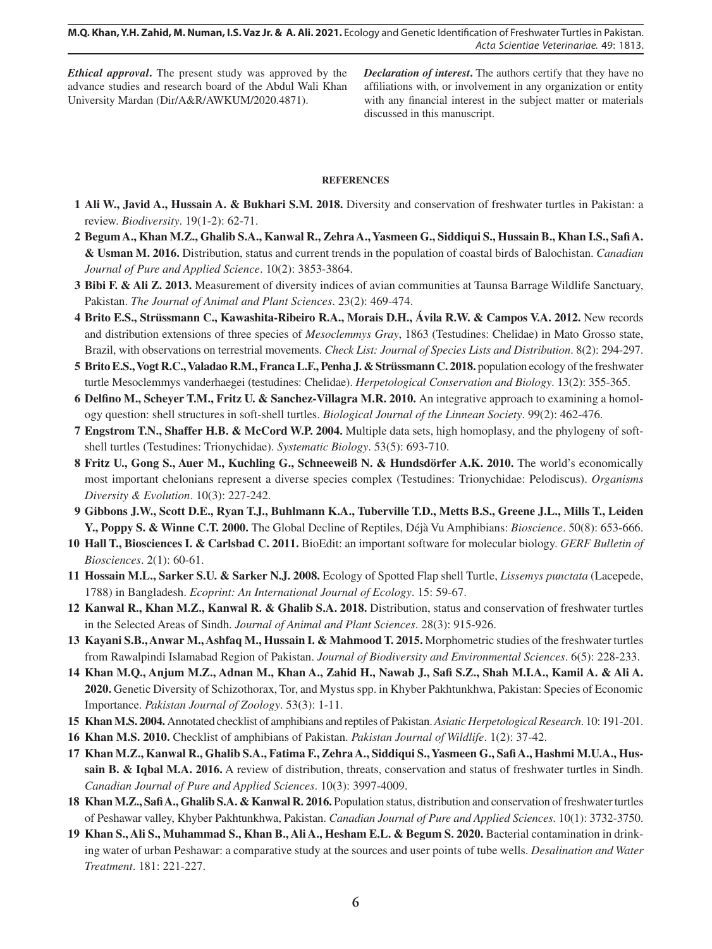*Ethical approval***.** The present study was approved by the advance studies and research board of the Abdul Wali Khan University Mardan (Dir/A&R/AWKUM/2020.4871).

*Declaration of interest***.** The authors certify that they have no affiliations with, or involvement in any organization or entity with any financial interest in the subject matter or materials discussed in this manuscript.

### **REFERENCES**

- **1 Ali W., Javid A., Hussain A. & Bukhari S.M. 2018.** Diversity and conservation of freshwater turtles in Pakistan: a review. *Biodiversity*. 19(1-2): 62-71.
- **2 Begum A., Khan M.Z., Ghalib S.A., Kanwal R., Zehra A., Yasmeen G., Siddiqui S., Hussain B., Khan I.S., Safi A. & Usman M. 2016.** Distribution, status and current trends in the population of coastal birds of Balochistan. *Canadian Journal of Pure and Applied Science*. 10(2): 3853-3864.
- **3 Bibi F. & Ali Z. 2013.** Measurement of diversity indices of avian communities at Taunsa Barrage Wildlife Sanctuary, Pakistan. *The Journal of Animal and Plant Sciences*. 23(2): 469-474.
- **4 Brito E.S., Strüssmann C., Kawashita-Ribeiro R.A., Morais D.H., Ávila R.W. & Campos V.A. 2012.** New records and distribution extensions of three species of *Mesoclemmys Gray*, 1863 (Testudines: Chelidae) in Mato Grosso state, Brazil, with observations on terrestrial movements. *Check List: Journal of Species Lists and Distribution*. 8(2): 294-297.
- **5 Brito E.S., Vogt R.C., Valadao R.M., Franca L.F., Penha J. & Strüssmann C. 2018.** population ecology of the freshwater turtle Mesoclemmys vanderhaegei (testudines: Chelidae). *Herpetological Conservation and Biology*. 13(2): 355-365.
- **6 Delfino M., Scheyer T.M., Fritz U. & Sanchez-Villagra M.R. 2010.** An integrative approach to examining a homology question: shell structures in soft-shell turtles. *Biological Journal of the Linnean Society*. 99(2): 462-476.
- **7 Engstrom T.N., Shaffer H.B. & McCord W.P. 2004.** Multiple data sets, high homoplasy, and the phylogeny of softshell turtles (Testudines: Trionychidae). *Systematic Biology*. 53(5): 693-710.
- **8 Fritz U., Gong S., Auer M., Kuchling G., Schneeweiß N. & Hundsdörfer A.K. 2010.** The world's economically most important chelonians represent a diverse species complex (Testudines: Trionychidae: Pelodiscus). *Organisms Diversity & Evolution*. 10(3): 227-242.
- **9 Gibbons J.W., Scott D.E., Ryan T.J., Buhlmann K.A., Tuberville T.D., Metts B.S., Greene J.L., Mills T., Leiden Y., Poppy S. & Winne C.T. 2000.** The Global Decline of Reptiles, Déjà Vu Amphibians: *Bioscience*. 50(8): 653-666.
- **10 Hall T., Biosciences I. & Carlsbad C. 2011.** BioEdit: an important software for molecular biology. *GERF Bulletin of Biosciences*. 2(1): 60-61.
- **11 Hossain M.L., Sarker S.U. & Sarker N.J. 2008.** Ecology of Spotted Flap shell Turtle, *Lissemys punctata* (Lacepede, 1788) in Bangladesh. *Ecoprint: An International Journal of Ecology*. 15: 59-67.
- **12 Kanwal R., Khan M.Z., Kanwal R. & Ghalib S.A. 2018.** Distribution, status and conservation of freshwater turtles in the Selected Areas of Sindh. *Journal of Animal and Plant Sciences*. 28(3): 915-926.
- **13 Kayani S.B., Anwar M., Ashfaq M., Hussain I. & Mahmood T. 2015.** Morphometric studies of the freshwater turtles from Rawalpindi Islamabad Region of Pakistan. *Journal of Biodiversity and Environmental Sciences*. 6(5): 228-233.
- **14 Khan M.Q., Anjum M.Z., Adnan M., Khan A., Zahid H., Nawab J., Safi S.Z., Shah M.I.A., Kamil A. & Ali A. 2020.** Genetic Diversity of Schizothorax, Tor, and Mystus spp. in Khyber Pakhtunkhwa, Pakistan: Species of Economic Importance. *Pakistan Journal of Zoology*. 53(3): 1-11.
- **15 Khan M.S. 2004.** Annotated checklist of amphibians and reptiles of Pakistan. *Asiatic Herpetological Research*. 10: 191-201.
- **16 Khan M.S. 2010.** Checklist of amphibians of Pakistan. *Pakistan Journal of Wildlife*. 1(2): 37-42.
- **17 Khan M.Z., Kanwal R., Ghalib S.A., Fatima F., Zehra A., Siddiqui S., Yasmeen G., Safi A., Hashmi M.U.A., Hussain B. & Iqbal M.A. 2016.** A review of distribution, threats, conservation and status of freshwater turtles in Sindh. *Canadian Journal of Pure and Applied Sciences*. 10(3): 3997-4009.
- **18 Khan M.Z., Safi A., Ghalib S.A. & Kanwal R. 2016.** Population status, distribution and conservation of freshwater turtles of Peshawar valley, Khyber Pakhtunkhwa, Pakistan. *Canadian Journal of Pure and Applied Sciences*. 10(1): 3732-3750.
- **19 Khan S., Ali S., Muhammad S., Khan B., Ali A., Hesham E.L. & Begum S. 2020.** Bacterial contamination in drinking water of urban Peshawar: a comparative study at the sources and user points of tube wells. *Desalination and Water Treatment*. 181: 221-227.